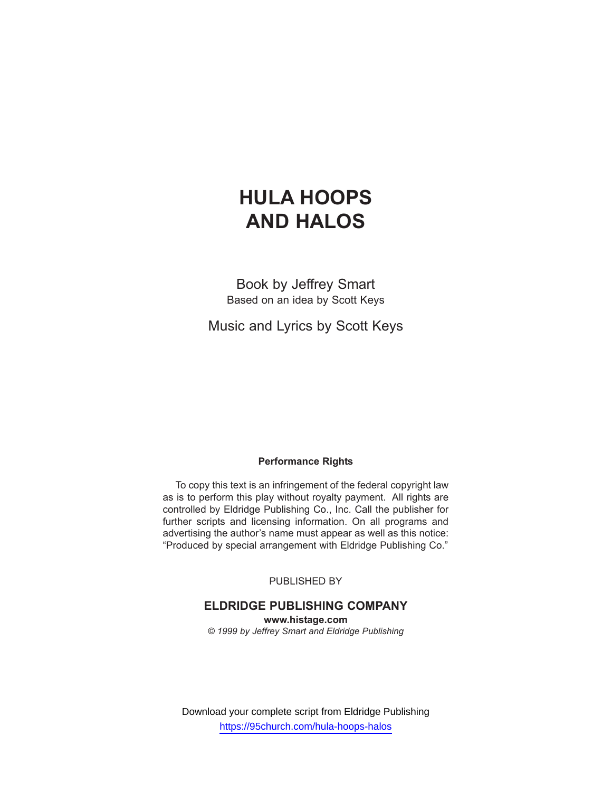# **HULA HOOPS AND HALOS**

Book by Jeffrey Smart Based on an idea by Scott Keys

Music and Lyrics by Scott Keys

## **Performance Rights**

To copy this text is an infringement of the federal copyright law as is to perform this play without royalty payment. All rights are controlled by Eldridge Publishing Co., Inc. Call the publisher for further scripts and licensing information. On all programs and advertising the author's name must appear as well as this notice: "Produced by special arrangement with Eldridge Publishing Co."

PUBLISHED BY

## **ELDRIDGE PUBLISHING COMPANY**

**www.histage.com** *© 1999 by Jeffrey Smart and Eldridge Publishing*

Download your complete script from Eldridge Publishing https://95church.com/hula-hoops-halos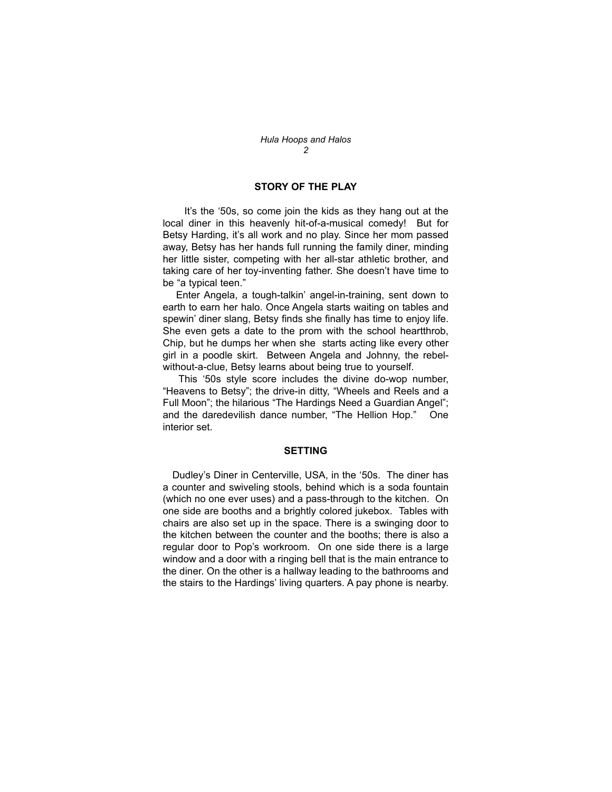#### **STORY OF THE PLAY**

It's the '50s, so come join the kids as they hang out at the local diner in this heavenly hit-of-a-musical comedy! But for Betsy Harding, it's all work and no play. Since her mom passed away, Betsy has her hands full running the family diner, minding her little sister, competing with her all-star athletic brother, and taking care of her toy-inventing father. She doesn't have time to be "a typical teen."

Enter Angela, a tough-talkin' angel-in-training, sent down to earth to earn her halo. Once Angela starts waiting on tables and spewin' diner slang, Betsy finds she finally has time to enjoy life. She even gets a date to the prom with the school heartthrob, Chip, but he dumps her when she starts acting like every other girl in a poodle skirt. Between Angela and Johnny, the rebelwithout-a-clue, Betsy learns about being true to yourself.

This '50s style score includes the divine do-wop number, "Heavens to Betsy"; the drive-in ditty, "Wheels and Reels and a Full Moon"; the hilarious "The Hardings Need a Guardian Angel"; and the daredevilish dance number, "The Hellion Hop." One interior set.

#### **SETTING**

Dudley's Diner in Centerville, USA, in the '50s. The diner has a counter and swiveling stools, behind which is a soda fountain (which no one ever uses) and a pass-through to the kitchen. On one side are booths and a brightly colored jukebox. Tables with chairs are also set up in the space. There is a swinging door to the kitchen between the counter and the booths; there is also a regular door to Pop's workroom. On one side there is a large window and a door with a ringing bell that is the main entrance to the diner. On the other is a hallway leading to the bathrooms and the stairs to the Hardings' living quarters. A pay phone is nearby.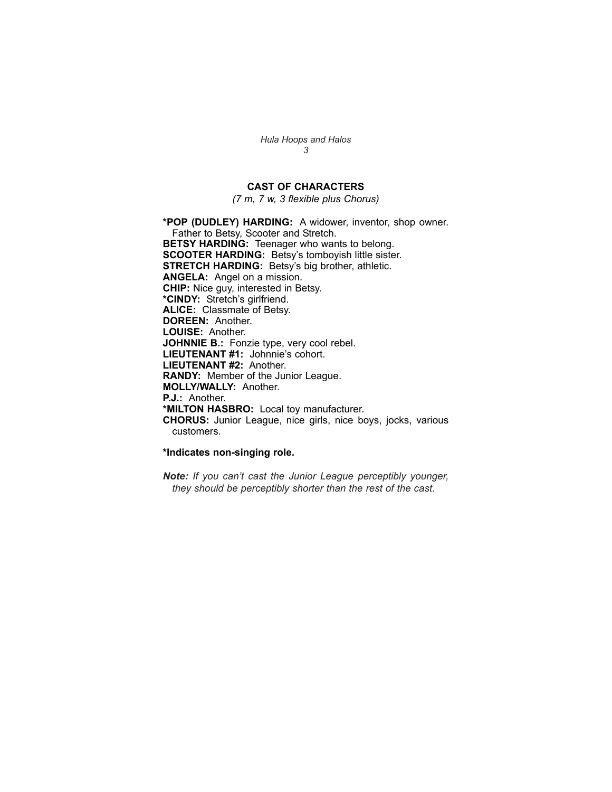## **CAST OF CHARACTERS**

*(7 m, 7 w, 3 flexible plus Chorus)*

**\*POP (DUDLEY) HARDING:** A widower, inventor, shop owner. Father to Betsy, Scooter and Stretch. **BETSY HARDING:** Teenager who wants to belong. **SCOOTER HARDING:** Betsy's tomboyish little sister. **STRETCH HARDING:** Betsy's big brother, athletic. **ANGELA:** Angel on a mission. **CHIP:** Nice guy, interested in Betsy. **\*CINDY:** Stretch's girlfriend. **ALICE:** Classmate of Betsy. **DOREEN:** Another. **LOUISE:** Another. **JOHNNIE B.:** Fonzie type, very cool rebel. **LIEUTENANT #1:** Johnnie's cohort. **LIEUTENANT #2:** Another. **RANDY:** Member of the Junior League. **MOLLY/WALLY:** Another. **P.J.:** Another. **\*MILTON HASBRO:** Local toy manufacturer. **CHORUS:** Junior League, nice girls, nice boys, jocks, various customers.

#### **\*Indicates non-singing role.**

*Note: If you can't cast the Junior League perceptibly younger, they should be perceptibly shorter than the rest of the cast.*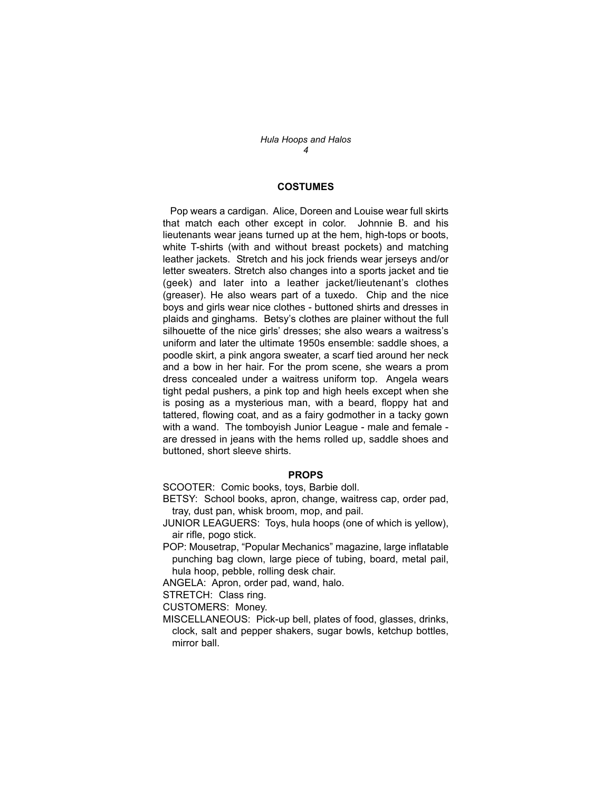#### **COSTUMES**

Pop wears a cardigan. Alice, Doreen and Louise wear full skirts that match each other except in color. Johnnie B. and his lieutenants wear jeans turned up at the hem, high-tops or boots, white T-shirts (with and without breast pockets) and matching leather jackets. Stretch and his jock friends wear jerseys and/or letter sweaters. Stretch also changes into a sports jacket and tie (geek) and later into a leather jacket/lieutenant's clothes (greaser). He also wears part of a tuxedo. Chip and the nice boys and girls wear nice clothes - buttoned shirts and dresses in plaids and ginghams. Betsy's clothes are plainer without the full silhouette of the nice girls' dresses; she also wears a waitress's uniform and later the ultimate 1950s ensemble: saddle shoes, a poodle skirt, a pink angora sweater, a scarf tied around her neck and a bow in her hair. For the prom scene, she wears a prom dress concealed under a waitress uniform top. Angela wears tight pedal pushers, a pink top and high heels except when she is posing as a mysterious man, with a beard, floppy hat and tattered, flowing coat, and as a fairy godmother in a tacky gown with a wand. The tomboyish Junior League - male and female are dressed in jeans with the hems rolled up, saddle shoes and buttoned, short sleeve shirts.

#### **PROPS**

SCOOTER: Comic books, toys, Barbie doll.

BETSY: School books, apron, change, waitress cap, order pad, tray, dust pan, whisk broom, mop, and pail.

JUNIOR LEAGUERS: Toys, hula hoops (one of which is yellow), air rifle, pogo stick.

POP: Mousetrap, "Popular Mechanics" magazine, large inflatable punching bag clown, large piece of tubing, board, metal pail, hula hoop, pebble, rolling desk chair.

ANGELA: Apron, order pad, wand, halo.

STRETCH: Class ring.

CUSTOMERS: Money.

MISCELLANEOUS: Pick-up bell, plates of food, glasses, drinks, clock, salt and pepper shakers, sugar bowls, ketchup bottles, mirror ball.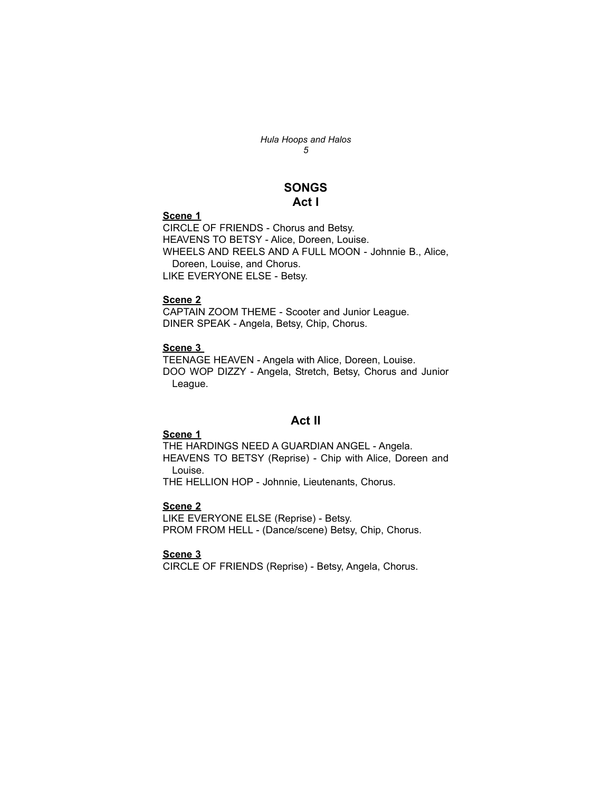## **SONGS Act I**

#### **Scene 1**

CIRCLE OF FRIENDS - Chorus and Betsy. HEAVENS TO BETSY - Alice, Doreen, Louise. WHEELS AND REELS AND A FULL MOON - Johnnie B., Alice, Doreen, Louise, and Chorus. LIKE EVERYONE ELSE - Betsy.

## **Scene 2**

CAPTAIN ZOOM THEME - Scooter and Junior League. DINER SPEAK - Angela, Betsy, Chip, Chorus.

## **Scene 3**

TEENAGE HEAVEN - Angela with Alice, Doreen, Louise. DOO WOP DIZZY - Angela, Stretch, Betsy, Chorus and Junior League.

## **Act II**

## **Scene 1**

THE HARDINGS NEED A GUARDIAN ANGEL - Angela. HEAVENS TO BETSY (Reprise) - Chip with Alice, Doreen and Louise.

THE HELLION HOP - Johnnie, Lieutenants, Chorus.

## **Scene 2**

LIKE EVERYONE ELSE (Reprise) - Betsy. PROM FROM HELL - (Dance/scene) Betsy, Chip, Chorus.

#### **Scene 3**

CIRCLE OF FRIENDS (Reprise) - Betsy, Angela, Chorus.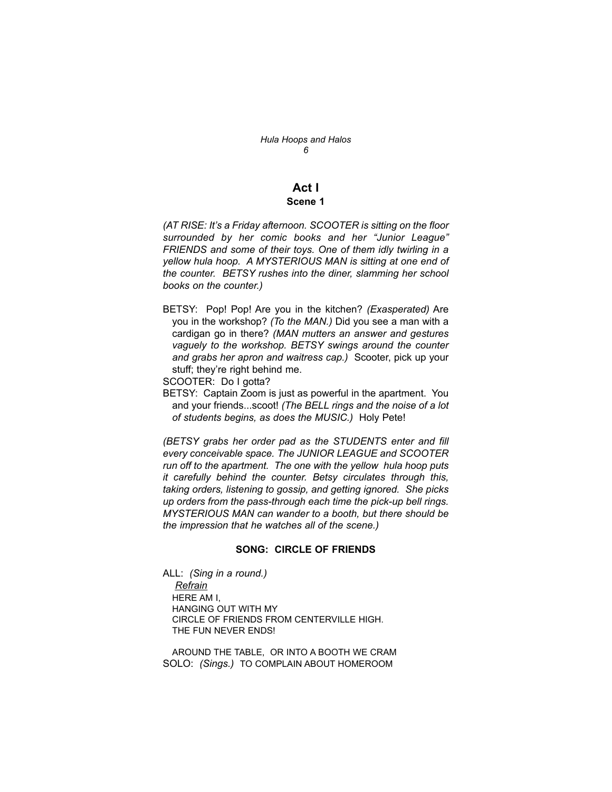# **Act I**

## **Scene 1**

*(AT RISE: It's a Friday afternoon. SCOOTER is sitting on the floor surrounded by her comic books and her "Junior League" FRIENDS and some of their toys. One of them idly twirling in a yellow hula hoop. A MYSTERIOUS MAN is sitting at one end of the counter. BETSY rushes into the diner, slamming her school books on the counter.)*

- BETSY: Pop! Pop! Are you in the kitchen? *(Exasperated)* Are you in the workshop? *(To the MAN.)* Did you see a man with a cardigan go in there? *(MAN mutters an answer and gestures vaguely to the workshop. BETSY swings around the counter and grabs her apron and waitress cap.)* Scooter, pick up your stuff; they're right behind me.
- SCOOTER: Do I gotta?
- BETSY: Captain Zoom is just as powerful in the apartment. You and your friends...scoot! *(The BELL rings and the noise of a lot of students begins, as does the MUSIC.)* Holy Pete!

*(BETSY grabs her order pad as the STUDENTS enter and fill every conceivable space. The JUNIOR LEAGUE and SCOOTER run off to the apartment. The one with the yellow hula hoop puts it carefully behind the counter. Betsy circulates through this, taking orders, listening to gossip, and getting ignored. She picks up orders from the pass-through each time the pick-up bell rings. MYSTERIOUS MAN can wander to a booth, but there should be the impression that he watches all of the scene.)*

#### **SONG: CIRCLE OF FRIENDS**

ALL: *(Sing in a round.) Refrain* HERE AM I, HANGING OUT WITH MY CIRCLE OF FRIENDS FROM CENTERVILLE HIGH. THE FUN NEVER ENDS!

AROUND THE TABLE, OR INTO A BOOTH WE CRAM SOLO: *(Sings.)* TO COMPLAIN ABOUT HOMEROOM